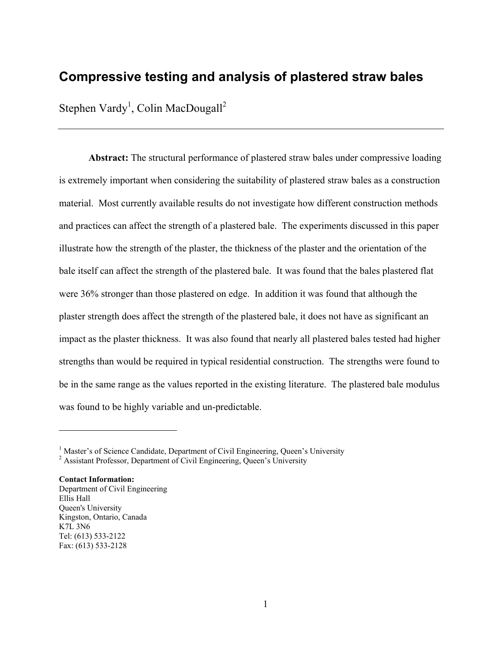# **Compressive testing and analysis of plastered straw bales**

Stephen Vardy<sup>1</sup>, Colin MacDougall<sup>2</sup>

**Abstract:** The structural performance of plastered straw bales under compressive loading is extremely important when considering the suitability of plastered straw bales as a construction material. Most currently available results do not investigate how different construction methods and practices can affect the strength of a plastered bale. The experiments discussed in this paper illustrate how the strength of the plaster, the thickness of the plaster and the orientation of the bale itself can affect the strength of the plastered bale. It was found that the bales plastered flat were 36% stronger than those plastered on edge. In addition it was found that although the plaster strength does affect the strength of the plastered bale, it does not have as significant an impact as the plaster thickness. It was also found that nearly all plastered bales tested had higher strengths than would be required in typical residential construction. The strengths were found to be in the same range as the values reported in the existing literature. The plastered bale modulus was found to be highly variable and un-predictable.

**Contact Information:**  Department of Civil Engineering Ellis Hall Queen's University Kingston, Ontario, Canada K7L 3N6 Tel: (613) 533-2122 Fax: (613) 533-2128

 $\overline{a}$ 

<sup>&</sup>lt;sup>1</sup> Master's of Science Candidate, Department of Civil Engineering, Queen's University  $\frac{2}{5}$  Accident Professor, Department of Civil Engineering, Queen's University

<sup>&</sup>lt;sup>2</sup> Assistant Professor, Department of Civil Engineering, Queen's University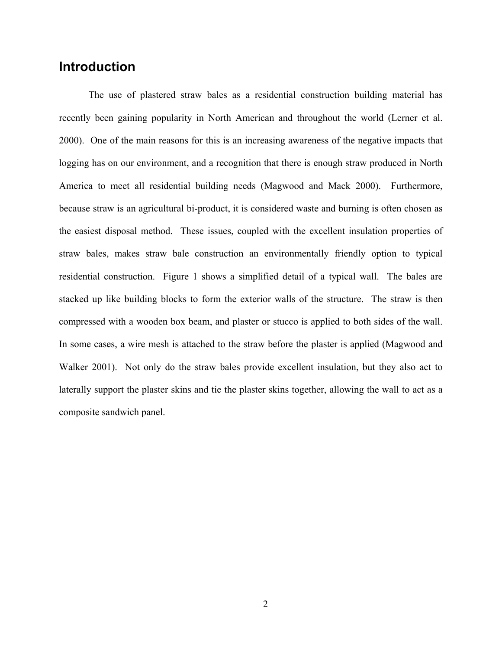# **Introduction**

The use of plastered straw bales as a residential construction building material has recently been gaining popularity in North American and throughout the world (Lerner et al. 2000). One of the main reasons for this is an increasing awareness of the negative impacts that logging has on our environment, and a recognition that there is enough straw produced in North America to meet all residential building needs (Magwood and Mack 2000). Furthermore, because straw is an agricultural bi-product, it is considered waste and burning is often chosen as the easiest disposal method. These issues, coupled with the excellent insulation properties of straw bales, makes straw bale construction an environmentally friendly option to typical residential construction. Figure 1 shows a simplified detail of a typical wall. The bales are stacked up like building blocks to form the exterior walls of the structure. The straw is then compressed with a wooden box beam, and plaster or stucco is applied to both sides of the wall. In some cases, a wire mesh is attached to the straw before the plaster is applied (Magwood and Walker 2001). Not only do the straw bales provide excellent insulation, but they also act to laterally support the plaster skins and tie the plaster skins together, allowing the wall to act as a composite sandwich panel.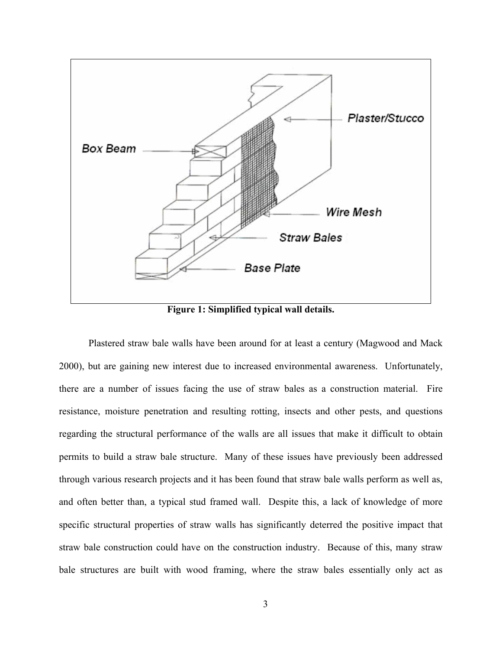

**Figure 1: Simplified typical wall details.** 

Plastered straw bale walls have been around for at least a century (Magwood and Mack 2000), but are gaining new interest due to increased environmental awareness. Unfortunately, there are a number of issues facing the use of straw bales as a construction material. Fire resistance, moisture penetration and resulting rotting, insects and other pests, and questions regarding the structural performance of the walls are all issues that make it difficult to obtain permits to build a straw bale structure. Many of these issues have previously been addressed through various research projects and it has been found that straw bale walls perform as well as, and often better than, a typical stud framed wall. Despite this, a lack of knowledge of more specific structural properties of straw walls has significantly deterred the positive impact that straw bale construction could have on the construction industry. Because of this, many straw bale structures are built with wood framing, where the straw bales essentially only act as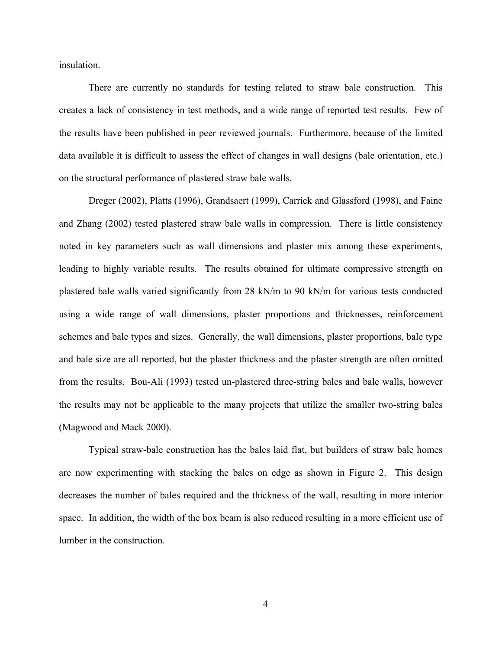insulation.

There are currently no standards for testing related to straw bale construction. This creates a lack of consistency in test methods, and a wide range of reported test results. Few of the results have been published in peer reviewed journals. Furthermore, because of the limited data available it is difficult to assess the effect of changes in wall designs (bale orientation, etc.) on the structural performance of plastered straw bale walls.

Dreger (2002), Platts (1996), Grandsaert (1999), Carrick and Glassford (1998), and Faine and Zhang (2002) tested plastered straw bale walls in compression. There is little consistency noted in key parameters such as wall dimensions and plaster mix among these experiments, leading to highly variable results. The results obtained for ultimate compressive strength on plastered bale walls varied significantly from 28 kN/m to 90 kN/m for various tests conducted using a wide range of wall dimensions, plaster proportions and thicknesses, reinforcement schemes and bale types and sizes. Generally, the wall dimensions, plaster proportions, bale type and bale size are all reported, but the plaster thickness and the plaster strength are often omitted from the results. Bou-Ali (1993) tested un-plastered three-string bales and bale walls, however the results may not be applicable to the many projects that utilize the smaller two-string bales (Magwood and Mack 2000).

Typical straw-bale construction has the bales laid flat, but builders of straw bale homes are now experimenting with stacking the bales on edge as shown in Figure 2. This design decreases the number of bales required and the thickness of the wall, resulting in more interior space. In addition, the width of the box beam is also reduced resulting in a more efficient use of lumber in the construction.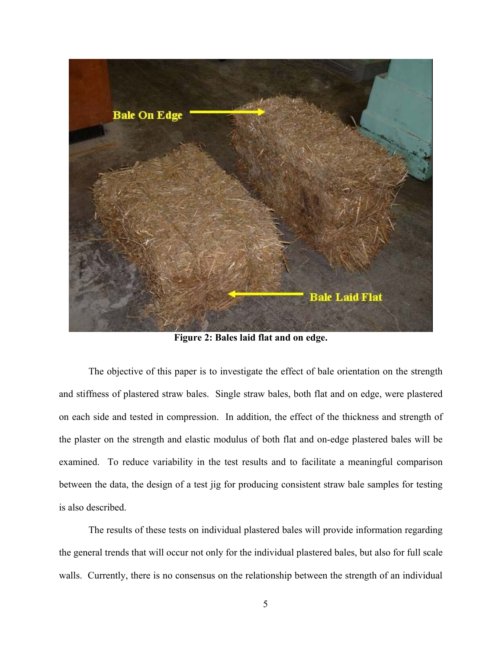

**Figure 2: Bales laid flat and on edge.**

The objective of this paper is to investigate the effect of bale orientation on the strength and stiffness of plastered straw bales. Single straw bales, both flat and on edge, were plastered on each side and tested in compression. In addition, the effect of the thickness and strength of the plaster on the strength and elastic modulus of both flat and on-edge plastered bales will be examined. To reduce variability in the test results and to facilitate a meaningful comparison between the data, the design of a test jig for producing consistent straw bale samples for testing is also described.

The results of these tests on individual plastered bales will provide information regarding the general trends that will occur not only for the individual plastered bales, but also for full scale walls. Currently, there is no consensus on the relationship between the strength of an individual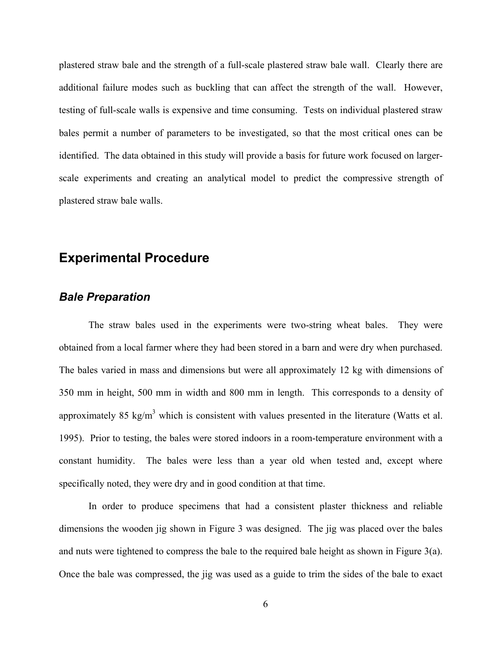plastered straw bale and the strength of a full-scale plastered straw bale wall. Clearly there are additional failure modes such as buckling that can affect the strength of the wall. However, testing of full-scale walls is expensive and time consuming. Tests on individual plastered straw bales permit a number of parameters to be investigated, so that the most critical ones can be identified. The data obtained in this study will provide a basis for future work focused on largerscale experiments and creating an analytical model to predict the compressive strength of plastered straw bale walls.

## **Experimental Procedure**

### *Bale Preparation*

The straw bales used in the experiments were two-string wheat bales. They were obtained from a local farmer where they had been stored in a barn and were dry when purchased. The bales varied in mass and dimensions but were all approximately 12 kg with dimensions of 350 mm in height, 500 mm in width and 800 mm in length. This corresponds to a density of approximately 85 kg/m<sup>3</sup> which is consistent with values presented in the literature (Watts et al. 1995). Prior to testing, the bales were stored indoors in a room-temperature environment with a constant humidity. The bales were less than a year old when tested and, except where specifically noted, they were dry and in good condition at that time.

In order to produce specimens that had a consistent plaster thickness and reliable dimensions the wooden jig shown in Figure 3 was designed. The jig was placed over the bales and nuts were tightened to compress the bale to the required bale height as shown in Figure 3(a). Once the bale was compressed, the jig was used as a guide to trim the sides of the bale to exact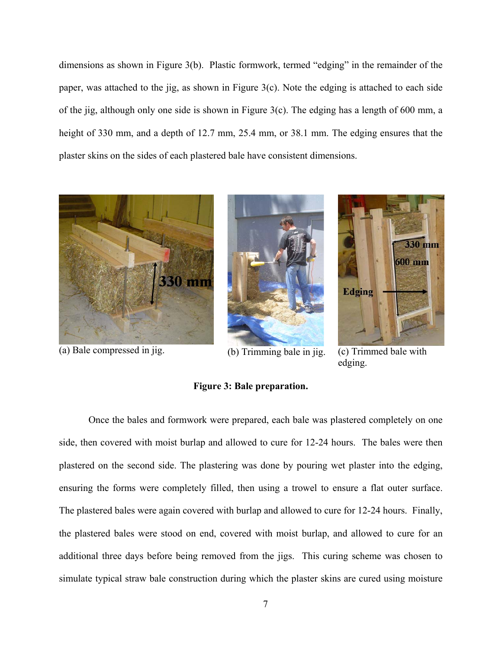dimensions as shown in Figure 3(b). Plastic formwork, termed "edging" in the remainder of the paper, was attached to the jig, as shown in Figure 3(c). Note the edging is attached to each side of the jig, although only one side is shown in Figure 3(c). The edging has a length of 600 mm, a height of 330 mm, and a depth of 12.7 mm, 25.4 mm, or 38.1 mm. The edging ensures that the plaster skins on the sides of each plastered bale have consistent dimensions.



(a) Bale compressed in jig. (b) Trimming bale in jig. (c) Trimmed bale with





edging.

#### **Figure 3: Bale preparation.**

Once the bales and formwork were prepared, each bale was plastered completely on one side, then covered with moist burlap and allowed to cure for 12-24 hours. The bales were then plastered on the second side. The plastering was done by pouring wet plaster into the edging, ensuring the forms were completely filled, then using a trowel to ensure a flat outer surface. The plastered bales were again covered with burlap and allowed to cure for 12-24 hours. Finally, the plastered bales were stood on end, covered with moist burlap, and allowed to cure for an additional three days before being removed from the jigs. This curing scheme was chosen to simulate typical straw bale construction during which the plaster skins are cured using moisture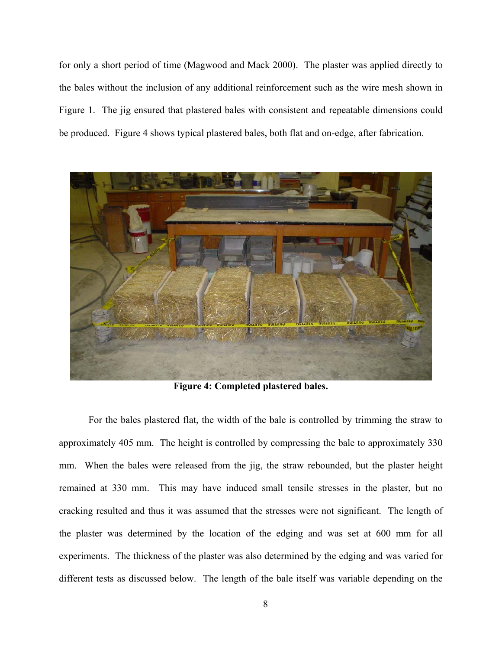for only a short period of time (Magwood and Mack 2000). The plaster was applied directly to the bales without the inclusion of any additional reinforcement such as the wire mesh shown in Figure 1. The jig ensured that plastered bales with consistent and repeatable dimensions could be produced. Figure 4 shows typical plastered bales, both flat and on-edge, after fabrication.



**Figure 4: Completed plastered bales.**

 For the bales plastered flat, the width of the bale is controlled by trimming the straw to approximately 405 mm. The height is controlled by compressing the bale to approximately 330 mm. When the bales were released from the jig, the straw rebounded, but the plaster height remained at 330 mm. This may have induced small tensile stresses in the plaster, but no cracking resulted and thus it was assumed that the stresses were not significant. The length of the plaster was determined by the location of the edging and was set at 600 mm for all experiments. The thickness of the plaster was also determined by the edging and was varied for different tests as discussed below. The length of the bale itself was variable depending on the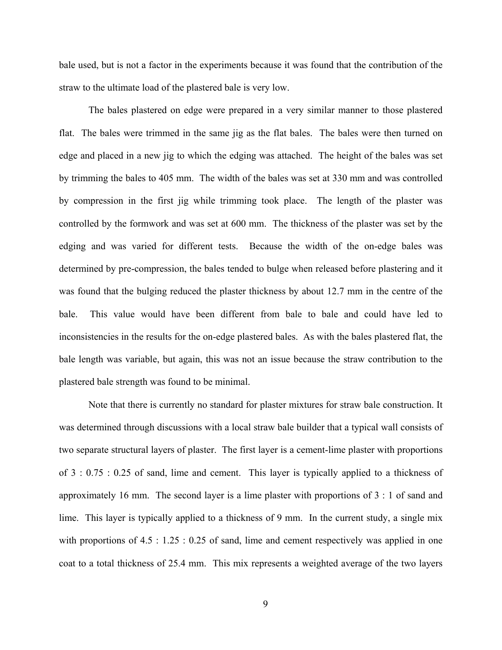bale used, but is not a factor in the experiments because it was found that the contribution of the straw to the ultimate load of the plastered bale is very low.

 The bales plastered on edge were prepared in a very similar manner to those plastered flat. The bales were trimmed in the same jig as the flat bales. The bales were then turned on edge and placed in a new jig to which the edging was attached. The height of the bales was set by trimming the bales to 405 mm. The width of the bales was set at 330 mm and was controlled by compression in the first jig while trimming took place. The length of the plaster was controlled by the formwork and was set at 600 mm. The thickness of the plaster was set by the edging and was varied for different tests. Because the width of the on-edge bales was determined by pre-compression, the bales tended to bulge when released before plastering and it was found that the bulging reduced the plaster thickness by about 12.7 mm in the centre of the bale. This value would have been different from bale to bale and could have led to inconsistencies in the results for the on-edge plastered bales. As with the bales plastered flat, the bale length was variable, but again, this was not an issue because the straw contribution to the plastered bale strength was found to be minimal.

Note that there is currently no standard for plaster mixtures for straw bale construction. It was determined through discussions with a local straw bale builder that a typical wall consists of two separate structural layers of plaster. The first layer is a cement-lime plaster with proportions of 3 : 0.75 : 0.25 of sand, lime and cement. This layer is typically applied to a thickness of approximately 16 mm. The second layer is a lime plaster with proportions of 3 : 1 of sand and lime. This layer is typically applied to a thickness of 9 mm. In the current study, a single mix with proportions of 4.5 : 1.25 : 0.25 of sand, lime and cement respectively was applied in one coat to a total thickness of 25.4 mm. This mix represents a weighted average of the two layers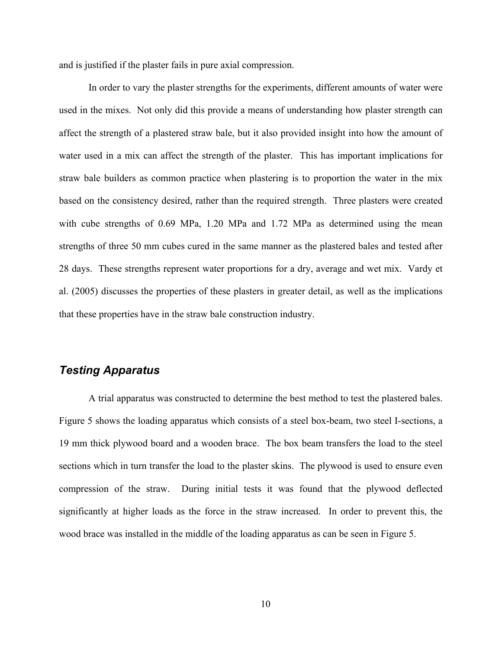and is justified if the plaster fails in pure axial compression.

In order to vary the plaster strengths for the experiments, different amounts of water were used in the mixes. Not only did this provide a means of understanding how plaster strength can affect the strength of a plastered straw bale, but it also provided insight into how the amount of water used in a mix can affect the strength of the plaster. This has important implications for straw bale builders as common practice when plastering is to proportion the water in the mix based on the consistency desired, rather than the required strength. Three plasters were created with cube strengths of 0.69 MPa, 1.20 MPa and 1.72 MPa as determined using the mean strengths of three 50 mm cubes cured in the same manner as the plastered bales and tested after 28 days. These strengths represent water proportions for a dry, average and wet mix. Vardy et al. (2005) discusses the properties of these plasters in greater detail, as well as the implications that these properties have in the straw bale construction industry.

### *Testing Apparatus*

A trial apparatus was constructed to determine the best method to test the plastered bales. Figure 5 shows the loading apparatus which consists of a steel box-beam, two steel I-sections, a 19 mm thick plywood board and a wooden brace. The box beam transfers the load to the steel sections which in turn transfer the load to the plaster skins. The plywood is used to ensure even compression of the straw. During initial tests it was found that the plywood deflected significantly at higher loads as the force in the straw increased. In order to prevent this, the wood brace was installed in the middle of the loading apparatus as can be seen in Figure 5.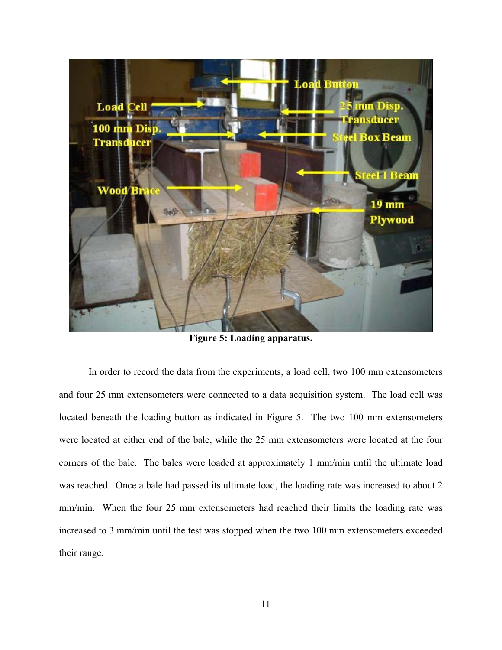

**Figure 5: Loading apparatus.**

In order to record the data from the experiments, a load cell, two 100 mm extensometers and four 25 mm extensometers were connected to a data acquisition system. The load cell was located beneath the loading button as indicated in Figure 5. The two 100 mm extensometers were located at either end of the bale, while the 25 mm extensometers were located at the four corners of the bale. The bales were loaded at approximately 1 mm/min until the ultimate load was reached. Once a bale had passed its ultimate load, the loading rate was increased to about 2 mm/min. When the four 25 mm extensometers had reached their limits the loading rate was increased to 3 mm/min until the test was stopped when the two 100 mm extensometers exceeded their range.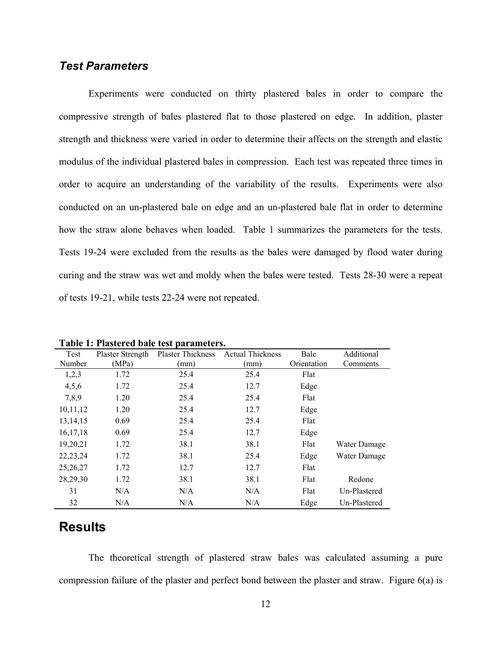#### *Test Parameters*

Experiments were conducted on thirty plastered bales in order to compare the compressive strength of bales plastered flat to those plastered on edge. In addition, plaster strength and thickness were varied in order to determine their affects on the strength and elastic modulus of the individual plastered bales in compression. Each test was repeated three times in order to acquire an understanding of the variability of the results. Experiments were also conducted on an un-plastered bale on edge and an un-plastered bale flat in order to determine how the straw alone behaves when loaded. Table 1 summarizes the parameters for the tests. Tests 19-24 were excluded from the results as the bales were damaged by flood water during curing and the straw was wet and moldy when the bales were tested. Tests 28-30 were a repeat of tests 19-21, while tests 22-24 were not repeated.

|            |                  | Table 1: I hastel cu baic test parameters. |                         |             |              |
|------------|------------------|--------------------------------------------|-------------------------|-------------|--------------|
| Test       | Plaster Strength | <b>Plaster Thickness</b>                   | <b>Actual Thickness</b> | Bale        | Additional   |
| Number     | (MPa)            | (mm)                                       | (mm                     | Orientation | Comments     |
| 1,2,3      | 1.72             | 25.4                                       | 25.4                    | Flat        |              |
| 4,5,6      | 1.72             | 25.4                                       | 12.7                    | Edge        |              |
| 7,8,9      | 1.20             | 25.4                                       | 25.4                    | Flat        |              |
| 10,11,12   | 1.20             | 25.4                                       | 12.7                    | Edge        |              |
| 13, 14, 15 | 0.69             | 25.4                                       | 25.4                    | Flat        |              |
| 16, 17, 18 | 0.69             | 25.4                                       | 12.7                    | Edge        |              |
| 19,20,21   | 1.72             | 38.1                                       | 38.1                    | Flat        | Water Damage |
| 22, 23, 24 | 1.72             | 38.1                                       | 25.4                    | Edge        | Water Damage |
| 25,26,27   | 1.72             | 12.7                                       | 12.7                    | Flat        |              |
| 28,29,30   | 1.72             | 38.1                                       | 38.1                    | Flat        | Redone       |
| 31         | N/A              | N/A                                        | N/A                     | Flat        | Un-Plastered |
| 32         | N/A              | N/A                                        | N/A                     | Edge        | Un-Plastered |

**Table 1: Plastered bale test parameters.** 

# **Results**

The theoretical strength of plastered straw bales was calculated assuming a pure compression failure of the plaster and perfect bond between the plaster and straw. Figure 6(a) is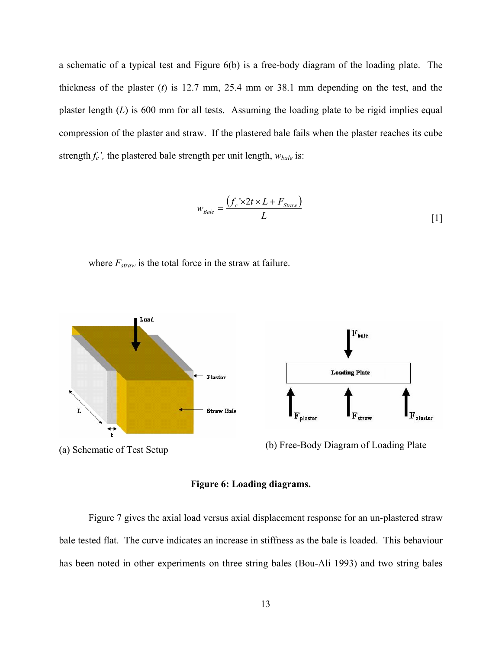a schematic of a typical test and Figure 6(b) is a free-body diagram of the loading plate. The thickness of the plaster (*t*) is 12.7 mm, 25.4 mm or 38.1 mm depending on the test, and the plaster length  $(L)$  is 600 mm for all tests. Assuming the loading plate to be rigid implies equal compression of the plaster and straw. If the plastered bale fails when the plaster reaches its cube strength  $f_c$ , the plastered bale strength per unit length,  $w_{\text{\}}$  is:

$$
w_{Bale} = \frac{(f_c \times 2t \times L + F_{Straw})}{L}
$$
 [1]

where  $F_{straw}$  is the total force in the straw at failure.



#### **Figure 6: Loading diagrams.**

Figure 7 gives the axial load versus axial displacement response for an un-plastered straw bale tested flat. The curve indicates an increase in stiffness as the bale is loaded. This behaviour has been noted in other experiments on three string bales (Bou-Ali 1993) and two string bales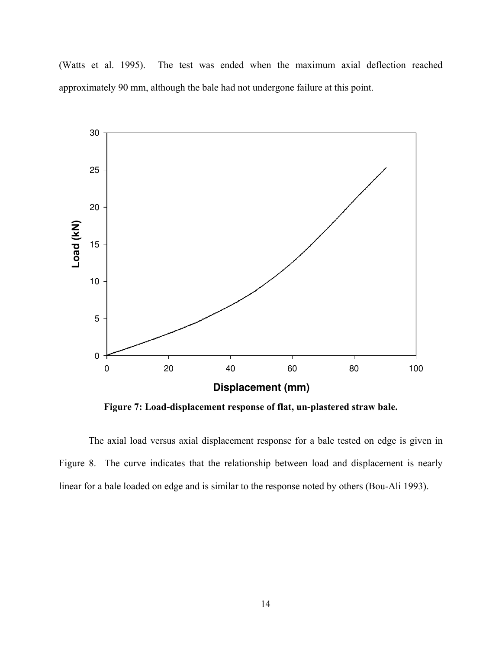(Watts et al. 1995). The test was ended when the maximum axial deflection reached approximately 90 mm, although the bale had not undergone failure at this point.



**Figure 7: Load-displacement response of flat, un-plastered straw bale.** 

The axial load versus axial displacement response for a bale tested on edge is given in Figure 8. The curve indicates that the relationship between load and displacement is nearly linear for a bale loaded on edge and is similar to the response noted by others (Bou-Ali 1993).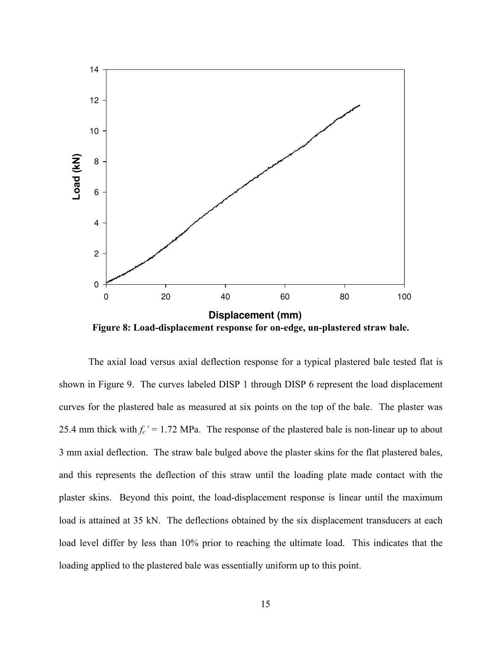

**Figure 8: Load-displacement response for on-edge, un-plastered straw bale.** 

The axial load versus axial deflection response for a typical plastered bale tested flat is shown in Figure 9. The curves labeled DISP 1 through DISP 6 represent the load displacement curves for the plastered bale as measured at six points on the top of the bale. The plaster was 25.4 mm thick with  $f_c' = 1.72$  MPa. The response of the plastered bale is non-linear up to about 3 mm axial deflection. The straw bale bulged above the plaster skins for the flat plastered bales, and this represents the deflection of this straw until the loading plate made contact with the plaster skins. Beyond this point, the load-displacement response is linear until the maximum load is attained at 35 kN. The deflections obtained by the six displacement transducers at each load level differ by less than 10% prior to reaching the ultimate load. This indicates that the loading applied to the plastered bale was essentially uniform up to this point.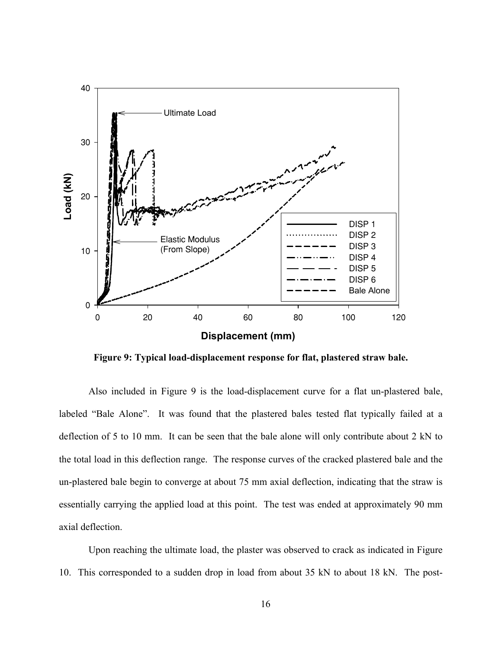

**Figure 9: Typical load-displacement response for flat, plastered straw bale.** 

Also included in Figure 9 is the load-displacement curve for a flat un-plastered bale, labeled "Bale Alone". It was found that the plastered bales tested flat typically failed at a deflection of 5 to 10 mm. It can be seen that the bale alone will only contribute about 2 kN to the total load in this deflection range. The response curves of the cracked plastered bale and the un-plastered bale begin to converge at about 75 mm axial deflection, indicating that the straw is essentially carrying the applied load at this point. The test was ended at approximately 90 mm axial deflection.

Upon reaching the ultimate load, the plaster was observed to crack as indicated in Figure 10. This corresponded to a sudden drop in load from about 35 kN to about 18 kN. The post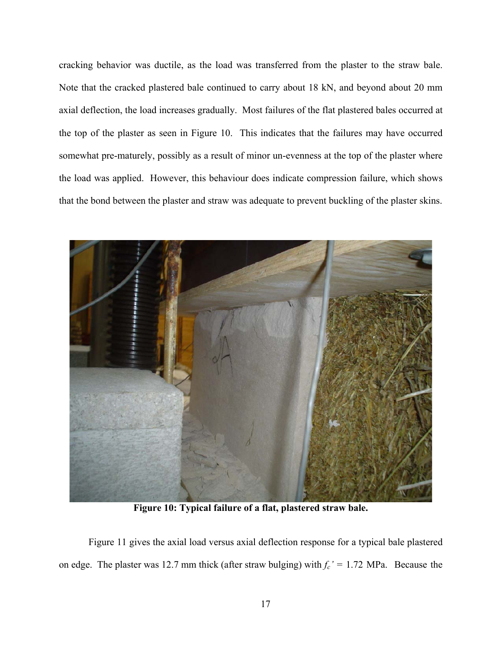cracking behavior was ductile, as the load was transferred from the plaster to the straw bale. Note that the cracked plastered bale continued to carry about 18 kN, and beyond about 20 mm axial deflection, the load increases gradually. Most failures of the flat plastered bales occurred at the top of the plaster as seen in Figure 10. This indicates that the failures may have occurred somewhat pre-maturely, possibly as a result of minor un-evenness at the top of the plaster where the load was applied. However, this behaviour does indicate compression failure, which shows that the bond between the plaster and straw was adequate to prevent buckling of the plaster skins.



**Figure 10: Typical failure of a flat, plastered straw bale.** 

Figure 11 gives the axial load versus axial deflection response for a typical bale plastered on edge. The plaster was 12.7 mm thick (after straw bulging) with  $f_c' = 1.72$  MPa. Because the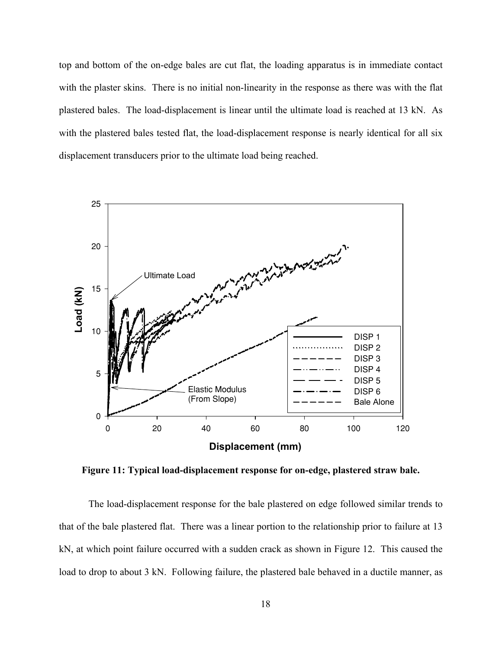top and bottom of the on-edge bales are cut flat, the loading apparatus is in immediate contact with the plaster skins. There is no initial non-linearity in the response as there was with the flat plastered bales. The load-displacement is linear until the ultimate load is reached at 13 kN. As with the plastered bales tested flat, the load-displacement response is nearly identical for all six displacement transducers prior to the ultimate load being reached.



**Figure 11: Typical load-displacement response for on-edge, plastered straw bale.** 

The load-displacement response for the bale plastered on edge followed similar trends to that of the bale plastered flat. There was a linear portion to the relationship prior to failure at 13 kN, at which point failure occurred with a sudden crack as shown in Figure 12. This caused the load to drop to about 3 kN. Following failure, the plastered bale behaved in a ductile manner, as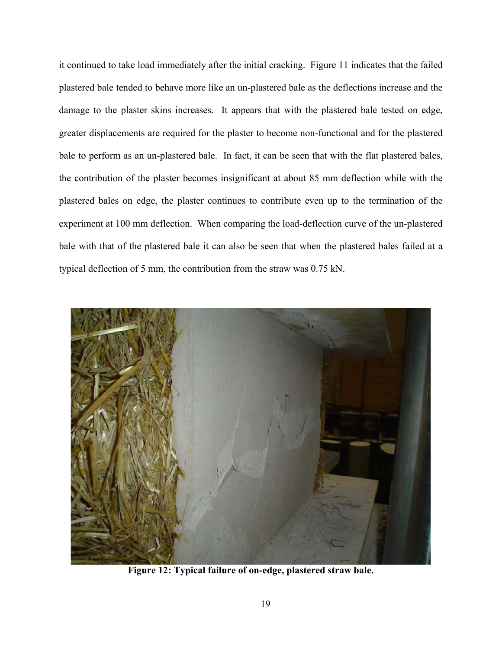it continued to take load immediately after the initial cracking. Figure 11 indicates that the failed plastered bale tended to behave more like an un-plastered bale as the deflections increase and the damage to the plaster skins increases. It appears that with the plastered bale tested on edge, greater displacements are required for the plaster to become non-functional and for the plastered bale to perform as an un-plastered bale. In fact, it can be seen that with the flat plastered bales, the contribution of the plaster becomes insignificant at about 85 mm deflection while with the plastered bales on edge, the plaster continues to contribute even up to the termination of the experiment at 100 mm deflection. When comparing the load-deflection curve of the un-plastered bale with that of the plastered bale it can also be seen that when the plastered bales failed at a typical deflection of 5 mm, the contribution from the straw was 0.75 kN.



**Figure 12: Typical failure of on-edge, plastered straw bale.**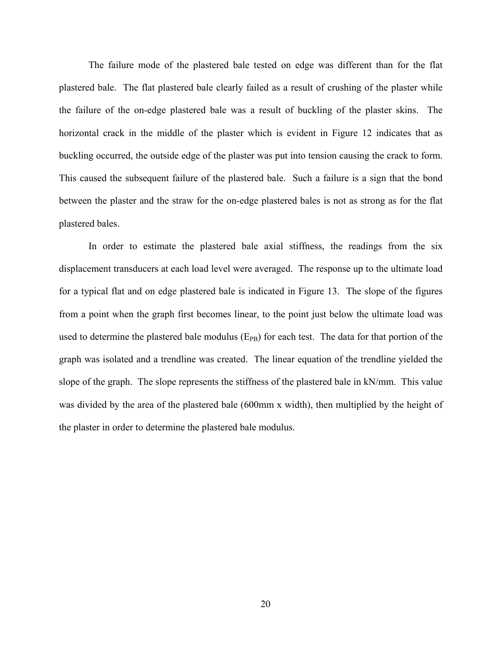The failure mode of the plastered bale tested on edge was different than for the flat plastered bale. The flat plastered bale clearly failed as a result of crushing of the plaster while the failure of the on-edge plastered bale was a result of buckling of the plaster skins. The horizontal crack in the middle of the plaster which is evident in Figure 12 indicates that as buckling occurred, the outside edge of the plaster was put into tension causing the crack to form. This caused the subsequent failure of the plastered bale. Such a failure is a sign that the bond between the plaster and the straw for the on-edge plastered bales is not as strong as for the flat plastered bales.

In order to estimate the plastered bale axial stiffness, the readings from the six displacement transducers at each load level were averaged. The response up to the ultimate load for a typical flat and on edge plastered bale is indicated in Figure 13. The slope of the figures from a point when the graph first becomes linear, to the point just below the ultimate load was used to determine the plastered bale modulus  $(E_{PB})$  for each test. The data for that portion of the graph was isolated and a trendline was created. The linear equation of the trendline yielded the slope of the graph. The slope represents the stiffness of the plastered bale in kN/mm. This value was divided by the area of the plastered bale (600mm x width), then multiplied by the height of the plaster in order to determine the plastered bale modulus.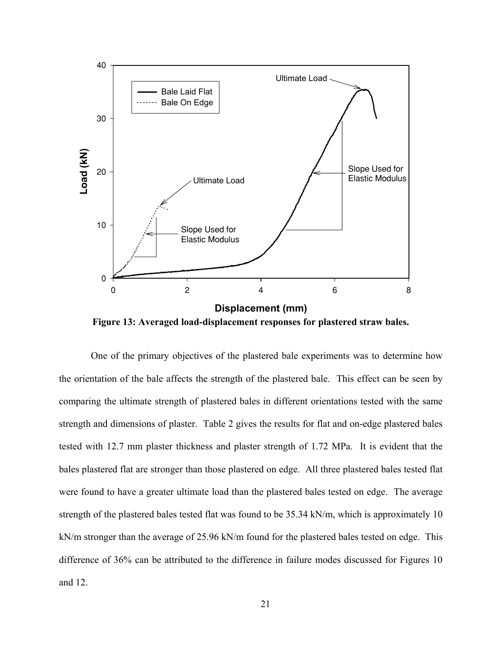

**Figure 13: Averaged load-displacement responses for plastered straw bales.** 

 One of the primary objectives of the plastered bale experiments was to determine how the orientation of the bale affects the strength of the plastered bale. This effect can be seen by comparing the ultimate strength of plastered bales in different orientations tested with the same strength and dimensions of plaster. Table 2 gives the results for flat and on-edge plastered bales tested with 12.7 mm plaster thickness and plaster strength of 1.72 MPa. It is evident that the bales plastered flat are stronger than those plastered on edge. All three plastered bales tested flat were found to have a greater ultimate load than the plastered bales tested on edge. The average strength of the plastered bales tested flat was found to be 35.34 kN/m, which is approximately 10 kN/m stronger than the average of 25.96 kN/m found for the plastered bales tested on edge. This difference of 36% can be attributed to the difference in failure modes discussed for Figures 10 and 12.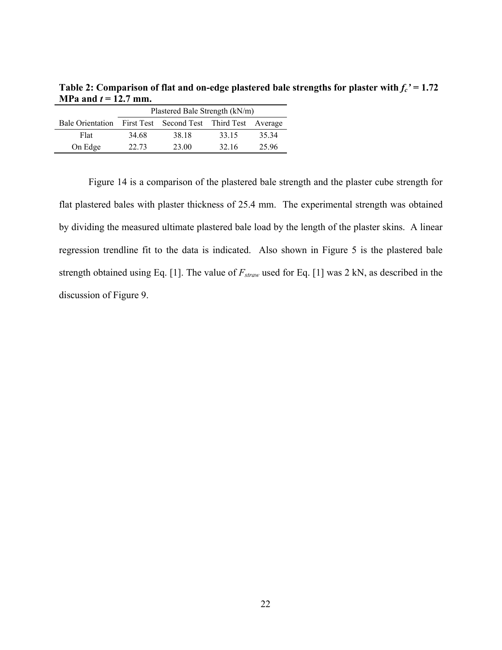|                         | Plastered Bale Strength (kN/m) |                                           |       |       |  |
|-------------------------|--------------------------------|-------------------------------------------|-------|-------|--|
| <b>Bale Orientation</b> |                                | First Test Second Test Third Test Average |       |       |  |
| Flat                    | 34.68                          | 38.18                                     | 33.15 | 35 34 |  |
| On Edge                 | 22.73                          | 23.00                                     | 32.16 | 25.96 |  |

Table 2: Comparison of flat and on-edge plastered bale strengths for plaster with  $f_c$ ' = 1.72 **MPa and**  $t = 12.7$  **mm.** 

Figure 14 is a comparison of the plastered bale strength and the plaster cube strength for flat plastered bales with plaster thickness of 25.4 mm. The experimental strength was obtained by dividing the measured ultimate plastered bale load by the length of the plaster skins. A linear regression trendline fit to the data is indicated. Also shown in Figure 5 is the plastered bale strength obtained using Eq. [1]. The value of *Fstraw* used for Eq. [1] was 2 kN, as described in the discussion of Figure 9.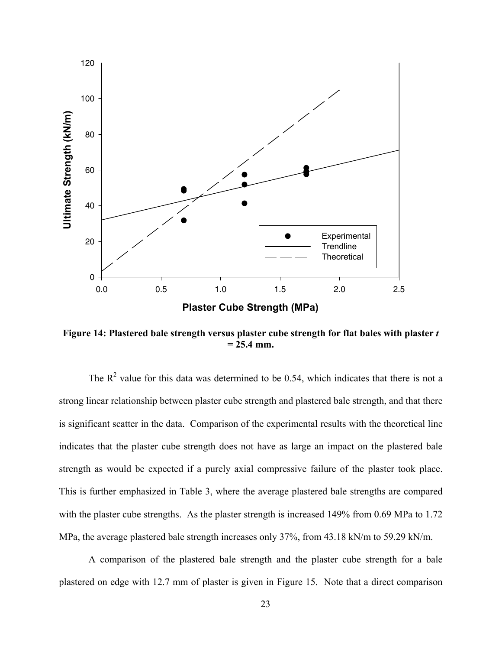

**Figure 14: Plastered bale strength versus plaster cube strength for flat bales with plaster** *t* **= 25.4 mm.** 

The  $R<sup>2</sup>$  value for this data was determined to be 0.54, which indicates that there is not a strong linear relationship between plaster cube strength and plastered bale strength, and that there is significant scatter in the data. Comparison of the experimental results with the theoretical line indicates that the plaster cube strength does not have as large an impact on the plastered bale strength as would be expected if a purely axial compressive failure of the plaster took place. This is further emphasized in Table 3, where the average plastered bale strengths are compared with the plaster cube strengths. As the plaster strength is increased 149% from 0.69 MPa to 1.72 MPa, the average plastered bale strength increases only 37%, from 43.18 kN/m to 59.29 kN/m.

A comparison of the plastered bale strength and the plaster cube strength for a bale plastered on edge with 12.7 mm of plaster is given in Figure 15. Note that a direct comparison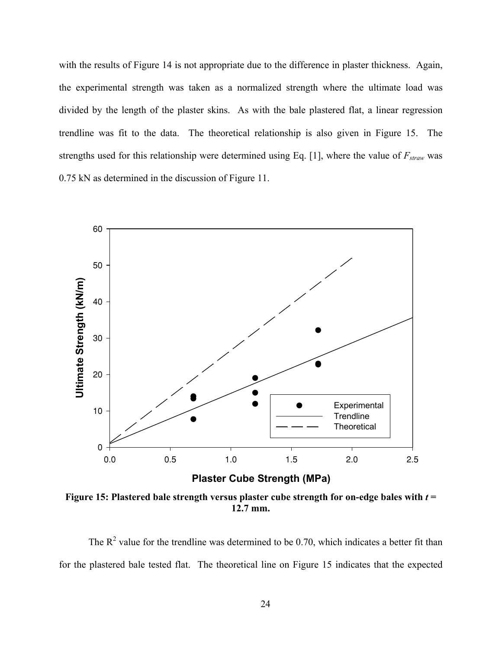with the results of Figure 14 is not appropriate due to the difference in plaster thickness. Again, the experimental strength was taken as a normalized strength where the ultimate load was divided by the length of the plaster skins. As with the bale plastered flat, a linear regression trendline was fit to the data. The theoretical relationship is also given in Figure 15. The strengths used for this relationship were determined using Eq. [1], where the value of  $F_{straw}$  was 0.75 kN as determined in the discussion of Figure 11.



**Figure 15: Plastered bale strength versus plaster cube strength for on-edge bales with** *t* **= 12.7 mm.** 

The  $R^2$  value for the trendline was determined to be 0.70, which indicates a better fit than for the plastered bale tested flat. The theoretical line on Figure 15 indicates that the expected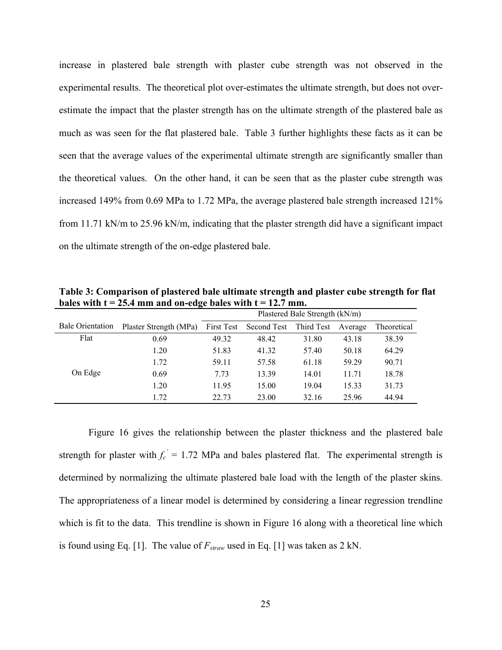increase in plastered bale strength with plaster cube strength was not observed in the experimental results. The theoretical plot over-estimates the ultimate strength, but does not overestimate the impact that the plaster strength has on the ultimate strength of the plastered bale as much as was seen for the flat plastered bale. Table 3 further highlights these facts as it can be seen that the average values of the experimental ultimate strength are significantly smaller than the theoretical values. On the other hand, it can be seen that as the plaster cube strength was increased 149% from 0.69 MPa to 1.72 MPa, the average plastered bale strength increased 121% from 11.71 kN/m to 25.96 kN/m, indicating that the plaster strength did have a significant impact on the ultimate strength of the on-edge plastered bale.

**Table 3: Comparison of plastered bale ultimate strength and plaster cube strength for flat**  bales with  $t = 25.4$  mm and on-edge bales with  $t = 12.7$  mm.

|                         |                        | Plastered Bale Strength (kN/m) |             |            |         |             |
|-------------------------|------------------------|--------------------------------|-------------|------------|---------|-------------|
| <b>Bale Orientation</b> | Plaster Strength (MPa) | First Test                     | Second Test | Third Test | Average | Theoretical |
| Flat                    | 0.69                   | 49.32                          | 48.42       | 31.80      | 43.18   | 38.39       |
|                         | 1.20                   | 51.83                          | 41.32       | 57.40      | 50.18   | 64.29       |
|                         | 1.72                   | 59.11                          | 57.58       | 61.18      | 59.29   | 90.71       |
| On Edge                 | 0.69                   | 7.73                           | 13.39       | 14.01      | 11.71   | 18.78       |
|                         | 1.20                   | 11.95                          | 15.00       | 19.04      | 15.33   | 31.73       |
|                         | 1.72                   | 22.73                          | 23.00       | 32.16      | 25.96   | 44.94       |

 Figure 16 gives the relationship between the plaster thickness and the plastered bale strength for plaster with  $f_c' = 1.72$  MPa and bales plastered flat. The experimental strength is determined by normalizing the ultimate plastered bale load with the length of the plaster skins. The appropriateness of a linear model is determined by considering a linear regression trendline which is fit to the data. This trendline is shown in Figure 16 along with a theoretical line which is found using Eq. [1]. The value of  $F_{straw}$  used in Eq. [1] was taken as 2 kN.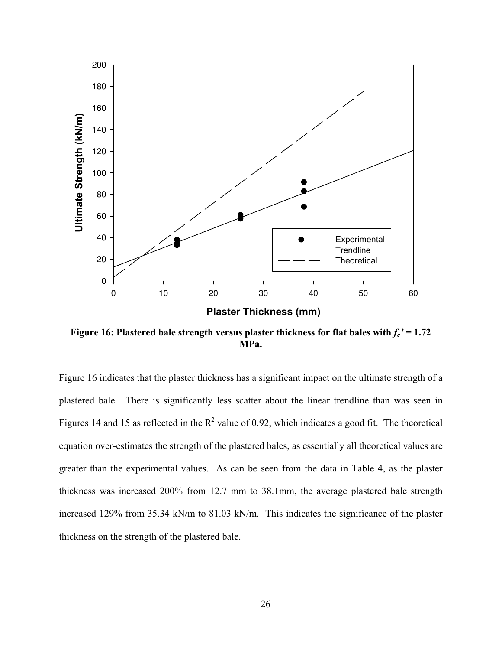

**Figure 16: Plastered bale strength versus plaster thickness for flat bales with**  $f_c' = 1.72$ **MPa.** 

Figure 16 indicates that the plaster thickness has a significant impact on the ultimate strength of a plastered bale. There is significantly less scatter about the linear trendline than was seen in Figures 14 and 15 as reflected in the  $R^2$  value of 0.92, which indicates a good fit. The theoretical equation over-estimates the strength of the plastered bales, as essentially all theoretical values are greater than the experimental values. As can be seen from the data in Table 4, as the plaster thickness was increased 200% from 12.7 mm to 38.1mm, the average plastered bale strength increased 129% from 35.34 kN/m to 81.03 kN/m. This indicates the significance of the plaster thickness on the strength of the plastered bale.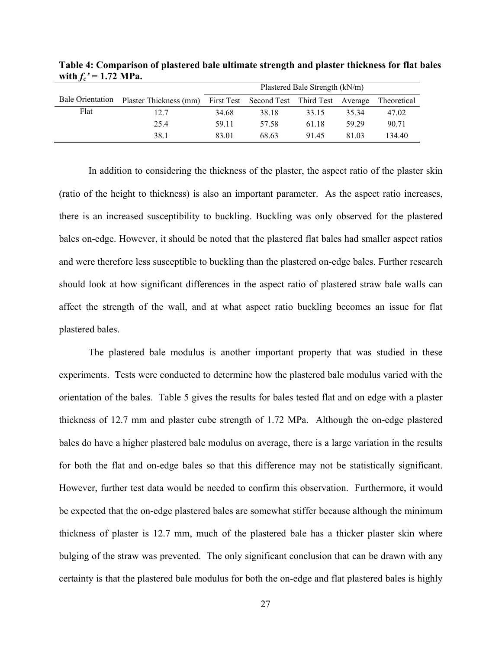|                         |                        | Plastered Bale Strength (kN/m) |                                           |       |       |             |
|-------------------------|------------------------|--------------------------------|-------------------------------------------|-------|-------|-------------|
| <b>Bale Orientation</b> | Plaster Thickness (mm) |                                | First Test Second Test Third Test Average |       |       | Theoretical |
| Flat                    | 12.7                   | 34.68                          | 38.18                                     | 33.15 | 35 34 | 47.02       |
|                         | 25.4                   | 59.11                          | 57.58                                     | 61.18 | 59 29 | 90.71       |
|                         | 38.1                   | 83.01                          | 68.63                                     | 91.45 | 81.03 | 134 40      |

**Table 4: Comparison of plastered bale ultimate strength and plaster thickness for flat bales**  with  $f_c' = 1.72 \text{ MPa.}$ 

In addition to considering the thickness of the plaster, the aspect ratio of the plaster skin (ratio of the height to thickness) is also an important parameter. As the aspect ratio increases, there is an increased susceptibility to buckling. Buckling was only observed for the plastered bales on-edge. However, it should be noted that the plastered flat bales had smaller aspect ratios and were therefore less susceptible to buckling than the plastered on-edge bales. Further research should look at how significant differences in the aspect ratio of plastered straw bale walls can affect the strength of the wall, and at what aspect ratio buckling becomes an issue for flat plastered bales.

The plastered bale modulus is another important property that was studied in these experiments. Tests were conducted to determine how the plastered bale modulus varied with the orientation of the bales. Table 5 gives the results for bales tested flat and on edge with a plaster thickness of 12.7 mm and plaster cube strength of 1.72 MPa. Although the on-edge plastered bales do have a higher plastered bale modulus on average, there is a large variation in the results for both the flat and on-edge bales so that this difference may not be statistically significant. However, further test data would be needed to confirm this observation. Furthermore, it would be expected that the on-edge plastered bales are somewhat stiffer because although the minimum thickness of plaster is 12.7 mm, much of the plastered bale has a thicker plaster skin where bulging of the straw was prevented. The only significant conclusion that can be drawn with any certainty is that the plastered bale modulus for both the on-edge and flat plastered bales is highly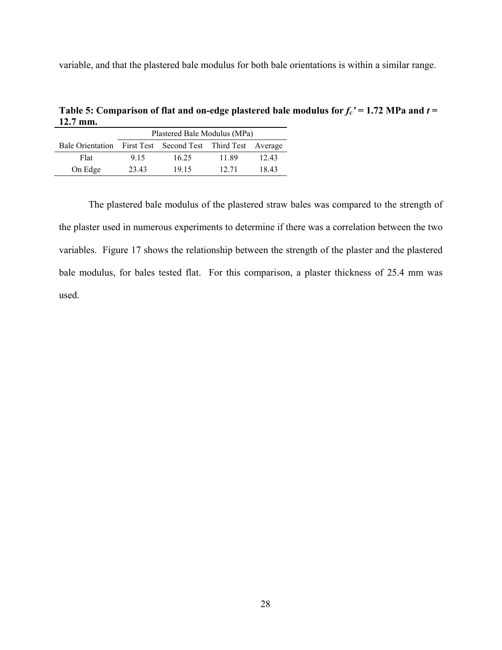variable, and that the plastered bale modulus for both bale orientations is within a similar range.

**Table 5: Comparison of flat and on-edge plastered bale modulus for**  $f_c' = 1.72$  **MPa and**  $t =$ **12.7 mm.** 

|                                                            | Plastered Bale Modulus (MPa) |       |       |       |  |  |
|------------------------------------------------------------|------------------------------|-------|-------|-------|--|--|
| Bale Orientation First Test Second Test Third Test Average |                              |       |       |       |  |  |
| Flat                                                       | 9 15                         | 16.25 | 11.89 | 12.43 |  |  |
| On Edge                                                    | 23.43                        | 19 15 | 12.71 | 18.43 |  |  |

The plastered bale modulus of the plastered straw bales was compared to the strength of the plaster used in numerous experiments to determine if there was a correlation between the two variables. Figure 17 shows the relationship between the strength of the plaster and the plastered bale modulus, for bales tested flat. For this comparison, a plaster thickness of 25.4 mm was used.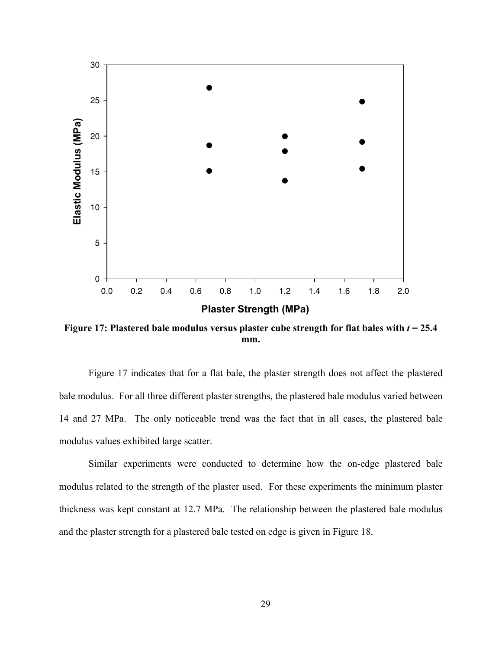

**Figure 17: Plastered bale modulus versus plaster cube strength for flat bales with** *t* **= 25.4 mm.** 

Figure 17 indicates that for a flat bale, the plaster strength does not affect the plastered bale modulus. For all three different plaster strengths, the plastered bale modulus varied between 14 and 27 MPa. The only noticeable trend was the fact that in all cases, the plastered bale modulus values exhibited large scatter.

Similar experiments were conducted to determine how the on-edge plastered bale modulus related to the strength of the plaster used. For these experiments the minimum plaster thickness was kept constant at 12.7 MPa. The relationship between the plastered bale modulus and the plaster strength for a plastered bale tested on edge is given in Figure 18.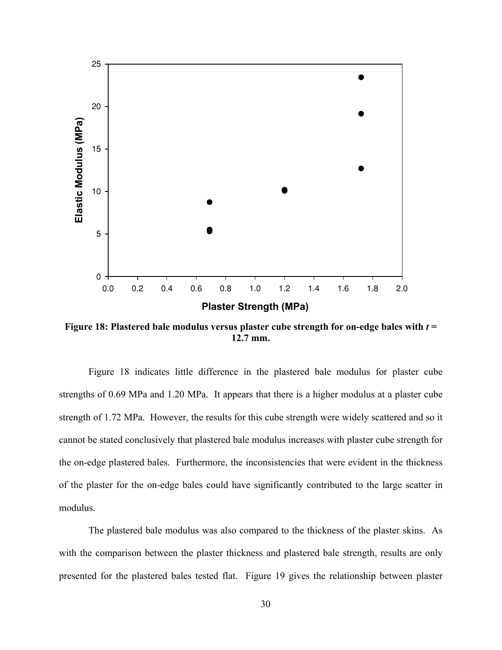

**Figure 18: Plastered bale modulus versus plaster cube strength for on-edge bales with** *t* **= 12.7 mm.** 

Figure 18 indicates little difference in the plastered bale modulus for plaster cube strengths of 0.69 MPa and 1.20 MPa. It appears that there is a higher modulus at a plaster cube strength of 1.72 MPa. However, the results for this cube strength were widely scattered and so it cannot be stated conclusively that plastered bale modulus increases with plaster cube strength for the on-edge plastered bales. Furthermore, the inconsistencies that were evident in the thickness of the plaster for the on-edge bales could have significantly contributed to the large scatter in modulus.

The plastered bale modulus was also compared to the thickness of the plaster skins. As with the comparison between the plaster thickness and plastered bale strength, results are only presented for the plastered bales tested flat. Figure 19 gives the relationship between plaster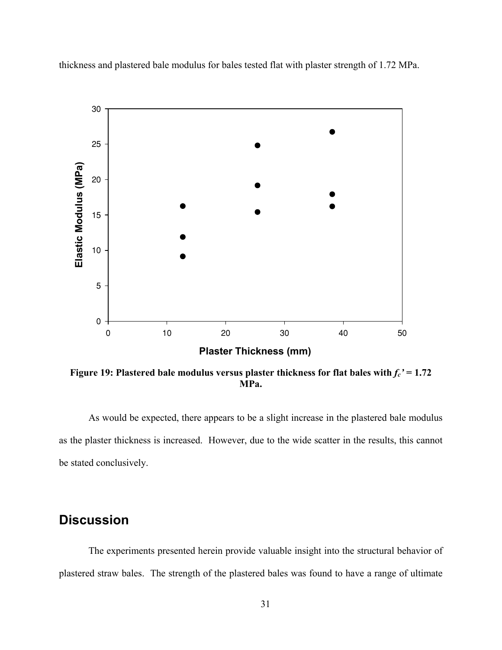thickness and plastered bale modulus for bales tested flat with plaster strength of 1.72 MPa.



**Figure 19: Plastered bale modulus versus plaster thickness for flat bales with**  $f_c' = 1.72$ **MPa.** 

As would be expected, there appears to be a slight increase in the plastered bale modulus as the plaster thickness is increased. However, due to the wide scatter in the results, this cannot be stated conclusively.

# **Discussion**

The experiments presented herein provide valuable insight into the structural behavior of plastered straw bales. The strength of the plastered bales was found to have a range of ultimate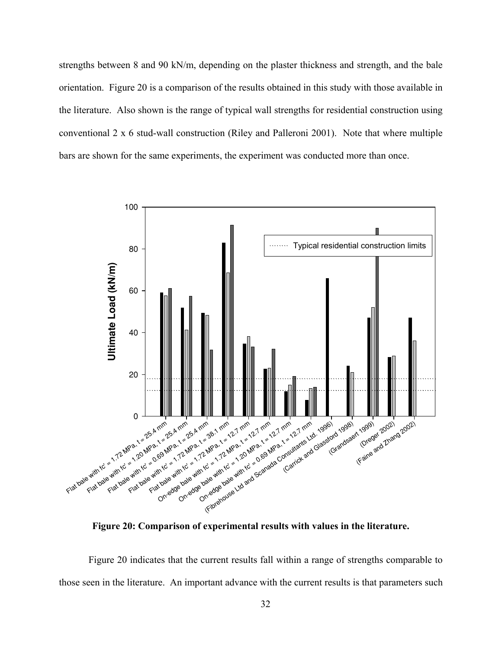strengths between 8 and 90 kN/m, depending on the plaster thickness and strength, and the bale orientation. Figure 20 is a comparison of the results obtained in this study with those available in the literature. Also shown is the range of typical wall strengths for residential construction using conventional 2 x 6 stud-wall construction (Riley and Palleroni 2001). Note that where multiple bars are shown for the same experiments, the experiment was conducted more than once.



**Figure 20: Comparison of experimental results with values in the literature.** 

Figure 20 indicates that the current results fall within a range of strengths comparable to those seen in the literature. An important advance with the current results is that parameters such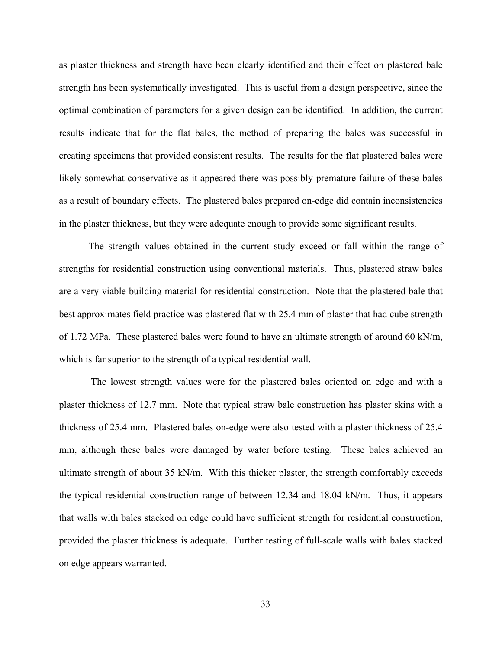as plaster thickness and strength have been clearly identified and their effect on plastered bale strength has been systematically investigated. This is useful from a design perspective, since the optimal combination of parameters for a given design can be identified. In addition, the current results indicate that for the flat bales, the method of preparing the bales was successful in creating specimens that provided consistent results. The results for the flat plastered bales were likely somewhat conservative as it appeared there was possibly premature failure of these bales as a result of boundary effects. The plastered bales prepared on-edge did contain inconsistencies in the plaster thickness, but they were adequate enough to provide some significant results.

The strength values obtained in the current study exceed or fall within the range of strengths for residential construction using conventional materials. Thus, plastered straw bales are a very viable building material for residential construction. Note that the plastered bale that best approximates field practice was plastered flat with 25.4 mm of plaster that had cube strength of 1.72 MPa. These plastered bales were found to have an ultimate strength of around 60 kN/m, which is far superior to the strength of a typical residential wall.

 The lowest strength values were for the plastered bales oriented on edge and with a plaster thickness of 12.7 mm. Note that typical straw bale construction has plaster skins with a thickness of 25.4 mm. Plastered bales on-edge were also tested with a plaster thickness of 25.4 mm, although these bales were damaged by water before testing. These bales achieved an ultimate strength of about 35 kN/m. With this thicker plaster, the strength comfortably exceeds the typical residential construction range of between 12.34 and 18.04 kN/m. Thus, it appears that walls with bales stacked on edge could have sufficient strength for residential construction, provided the plaster thickness is adequate. Further testing of full-scale walls with bales stacked on edge appears warranted.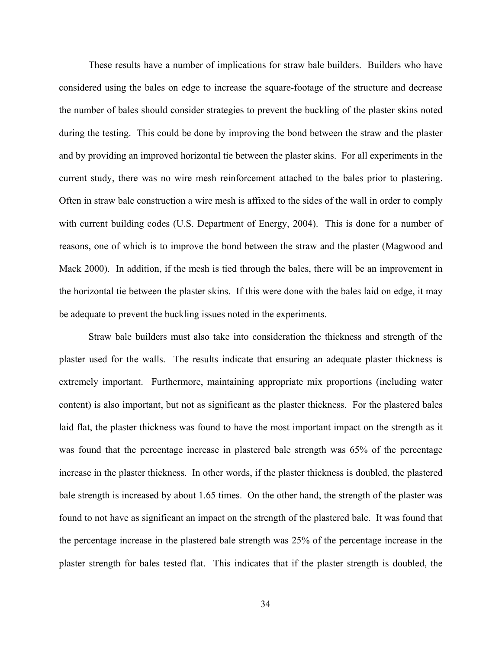These results have a number of implications for straw bale builders. Builders who have considered using the bales on edge to increase the square-footage of the structure and decrease the number of bales should consider strategies to prevent the buckling of the plaster skins noted during the testing. This could be done by improving the bond between the straw and the plaster and by providing an improved horizontal tie between the plaster skins. For all experiments in the current study, there was no wire mesh reinforcement attached to the bales prior to plastering. Often in straw bale construction a wire mesh is affixed to the sides of the wall in order to comply with current building codes (U.S. Department of Energy, 2004). This is done for a number of reasons, one of which is to improve the bond between the straw and the plaster (Magwood and Mack 2000). In addition, if the mesh is tied through the bales, there will be an improvement in the horizontal tie between the plaster skins. If this were done with the bales laid on edge, it may be adequate to prevent the buckling issues noted in the experiments.

Straw bale builders must also take into consideration the thickness and strength of the plaster used for the walls. The results indicate that ensuring an adequate plaster thickness is extremely important. Furthermore, maintaining appropriate mix proportions (including water content) is also important, but not as significant as the plaster thickness. For the plastered bales laid flat, the plaster thickness was found to have the most important impact on the strength as it was found that the percentage increase in plastered bale strength was 65% of the percentage increase in the plaster thickness. In other words, if the plaster thickness is doubled, the plastered bale strength is increased by about 1.65 times. On the other hand, the strength of the plaster was found to not have as significant an impact on the strength of the plastered bale. It was found that the percentage increase in the plastered bale strength was 25% of the percentage increase in the plaster strength for bales tested flat. This indicates that if the plaster strength is doubled, the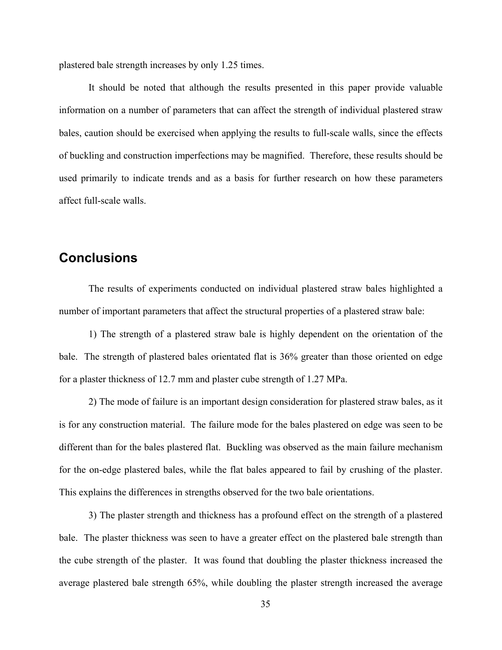plastered bale strength increases by only 1.25 times.

It should be noted that although the results presented in this paper provide valuable information on a number of parameters that can affect the strength of individual plastered straw bales, caution should be exercised when applying the results to full-scale walls, since the effects of buckling and construction imperfections may be magnified. Therefore, these results should be used primarily to indicate trends and as a basis for further research on how these parameters affect full-scale walls.

# **Conclusions**

The results of experiments conducted on individual plastered straw bales highlighted a number of important parameters that affect the structural properties of a plastered straw bale:

1) The strength of a plastered straw bale is highly dependent on the orientation of the bale. The strength of plastered bales orientated flat is 36% greater than those oriented on edge for a plaster thickness of 12.7 mm and plaster cube strength of 1.27 MPa.

2) The mode of failure is an important design consideration for plastered straw bales, as it is for any construction material. The failure mode for the bales plastered on edge was seen to be different than for the bales plastered flat. Buckling was observed as the main failure mechanism for the on-edge plastered bales, while the flat bales appeared to fail by crushing of the plaster. This explains the differences in strengths observed for the two bale orientations.

3) The plaster strength and thickness has a profound effect on the strength of a plastered bale. The plaster thickness was seen to have a greater effect on the plastered bale strength than the cube strength of the plaster. It was found that doubling the plaster thickness increased the average plastered bale strength 65%, while doubling the plaster strength increased the average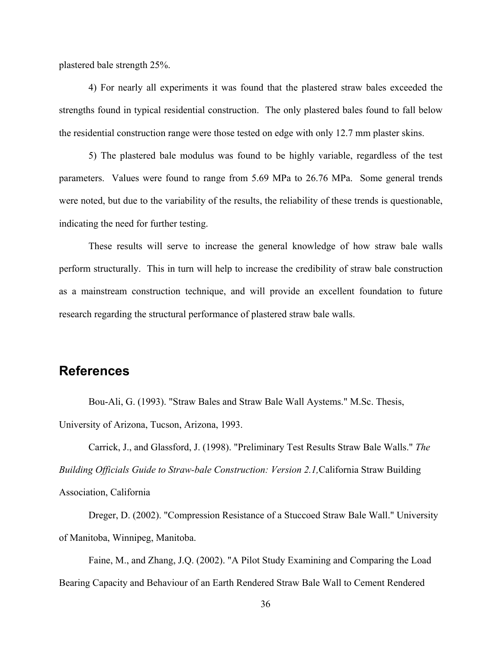plastered bale strength 25%.

4) For nearly all experiments it was found that the plastered straw bales exceeded the strengths found in typical residential construction. The only plastered bales found to fall below the residential construction range were those tested on edge with only 12.7 mm plaster skins.

5) The plastered bale modulus was found to be highly variable, regardless of the test parameters. Values were found to range from 5.69 MPa to 26.76 MPa. Some general trends were noted, but due to the variability of the results, the reliability of these trends is questionable, indicating the need for further testing.

These results will serve to increase the general knowledge of how straw bale walls perform structurally. This in turn will help to increase the credibility of straw bale construction as a mainstream construction technique, and will provide an excellent foundation to future research regarding the structural performance of plastered straw bale walls.

## **References**

Bou-Ali, G. (1993). "Straw Bales and Straw Bale Wall Aystems." M.Sc. Thesis, University of Arizona, Tucson, Arizona, 1993.

Carrick, J., and Glassford, J. (1998). "Preliminary Test Results Straw Bale Walls." *The Building Officials Guide to Straw-bale Construction: Version 2.1,*California Straw Building Association, California

Dreger, D. (2002). "Compression Resistance of a Stuccoed Straw Bale Wall." University of Manitoba, Winnipeg, Manitoba.

Faine, M., and Zhang, J.Q. (2002). "A Pilot Study Examining and Comparing the Load Bearing Capacity and Behaviour of an Earth Rendered Straw Bale Wall to Cement Rendered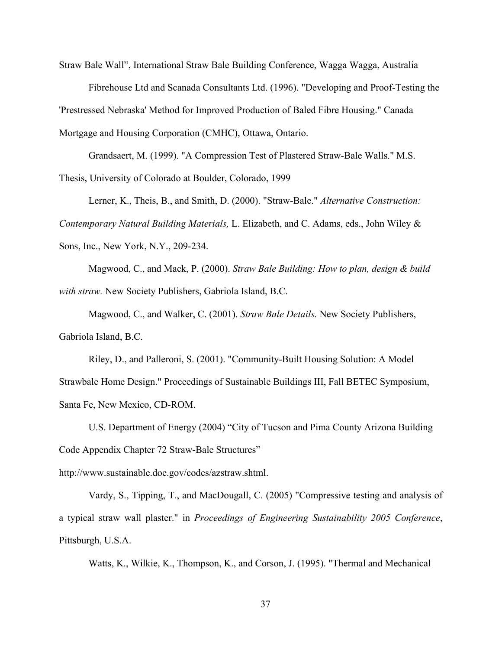Straw Bale Wall", International Straw Bale Building Conference, Wagga Wagga, Australia

Fibrehouse Ltd and Scanada Consultants Ltd. (1996). "Developing and Proof-Testing the 'Prestressed Nebraska' Method for Improved Production of Baled Fibre Housing." Canada Mortgage and Housing Corporation (CMHC), Ottawa, Ontario.

Grandsaert, M. (1999). "A Compression Test of Plastered Straw-Bale Walls." M.S. Thesis, University of Colorado at Boulder, Colorado, 1999

Lerner, K., Theis, B., and Smith, D. (2000). "Straw-Bale." *Alternative Construction: Contemporary Natural Building Materials,* L. Elizabeth, and C. Adams, eds., John Wiley & Sons, Inc., New York, N.Y., 209-234.

Magwood, C., and Mack, P. (2000). *Straw Bale Building: How to plan, design & build with straw.* New Society Publishers, Gabriola Island, B.C.

Magwood, C., and Walker, C. (2001). *Straw Bale Details.* New Society Publishers, Gabriola Island, B.C.

Riley, D., and Palleroni, S. (2001). "Community-Built Housing Solution: A Model Strawbale Home Design." Proceedings of Sustainable Buildings III, Fall BETEC Symposium, Santa Fe, New Mexico, CD-ROM.

U.S. Department of Energy (2004) "City of Tucson and Pima County Arizona Building Code Appendix Chapter 72 Straw-Bale Structures"

http://www.sustainable.doe.gov/codes/azstraw.shtml.

Vardy, S., Tipping, T., and MacDougall, C. (2005) "Compressive testing and analysis of a typical straw wall plaster." in *Proceedings of Engineering Sustainability 2005 Conference*, Pittsburgh, U.S.A.

Watts, K., Wilkie, K., Thompson, K., and Corson, J. (1995). "Thermal and Mechanical